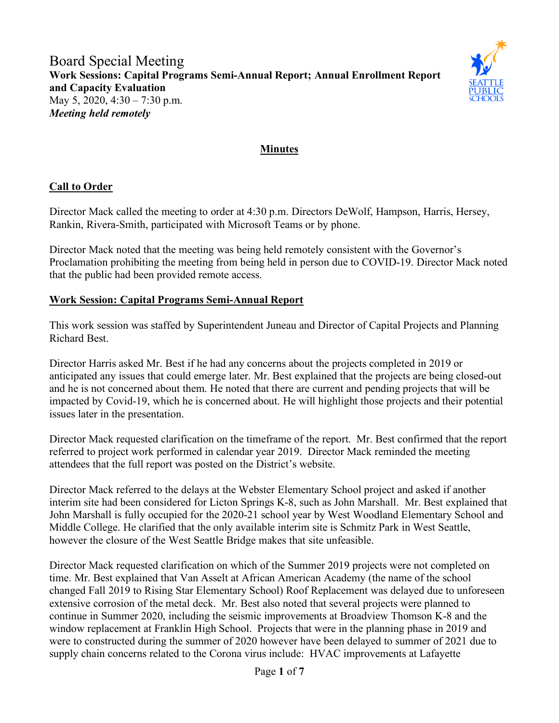

# **Minutes**

## **Call to Order**

Director Mack called the meeting to order at 4:30 p.m. Directors DeWolf, Hampson, Harris, Hersey, Rankin, Rivera-Smith, participated with Microsoft Teams or by phone.

Director Mack noted that the meeting was being held remotely consistent with the Governor's Proclamation prohibiting the meeting from being held in person due to COVID-19. Director Mack noted that the public had been provided remote access.

### **Work Session: Capital Programs Semi-Annual Report**

This work session was staffed by Superintendent Juneau and Director of Capital Projects and Planning Richard Best.

Director Harris asked Mr. Best if he had any concerns about the projects completed in 2019 or anticipated any issues that could emerge later. Mr. Best explained that the projects are being closed-out and he is not concerned about them. He noted that there are current and pending projects that will be impacted by Covid-19, which he is concerned about. He will highlight those projects and their potential issues later in the presentation.

Director Mack requested clarification on the timeframe of the report. Mr. Best confirmed that the report referred to project work performed in calendar year 2019. Director Mack reminded the meeting attendees that the full report was posted on the District's website.

Director Mack referred to the delays at the Webster Elementary School project and asked if another interim site had been considered for Licton Springs K-8, such as John Marshall. Mr. Best explained that John Marshall is fully occupied for the 2020-21 school year by West Woodland Elementary School and Middle College. He clarified that the only available interim site is Schmitz Park in West Seattle, however the closure of the West Seattle Bridge makes that site unfeasible.

Director Mack requested clarification on which of the Summer 2019 projects were not completed on time. Mr. Best explained that Van Asselt at African American Academy (the name of the school changed Fall 2019 to Rising Star Elementary School) Roof Replacement was delayed due to unforeseen extensive corrosion of the metal deck. Mr. Best also noted that several projects were planned to continue in Summer 2020, including the seismic improvements at Broadview Thomson K-8 and the window replacement at Franklin High School. Projects that were in the planning phase in 2019 and were to constructed during the summer of 2020 however have been delayed to summer of 2021 due to supply chain concerns related to the Corona virus include: HVAC improvements at Lafayette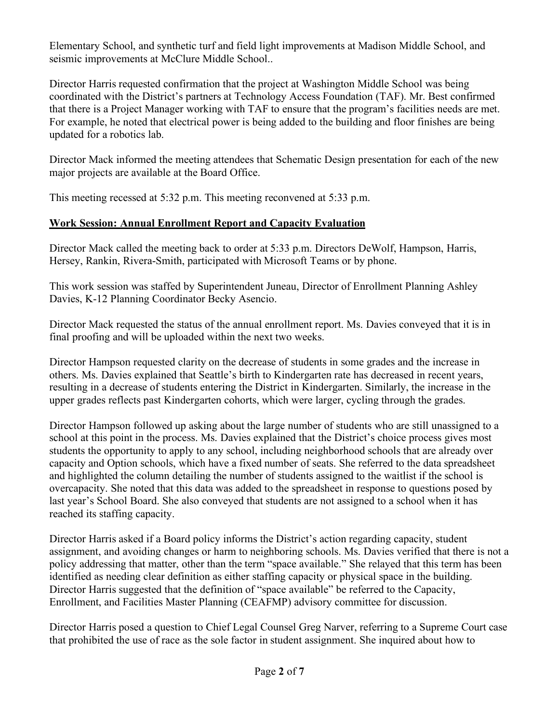Elementary School, and synthetic turf and field light improvements at Madison Middle School, and seismic improvements at McClure Middle School..

Director Harris requested confirmation that the project at Washington Middle School was being coordinated with the District's partners at Technology Access Foundation (TAF). Mr. Best confirmed that there is a Project Manager working with TAF to ensure that the program's facilities needs are met. For example, he noted that electrical power is being added to the building and floor finishes are being updated for a robotics lab.

Director Mack informed the meeting attendees that Schematic Design presentation for each of the new major projects are available at the Board Office.

This meeting recessed at 5:32 p.m. This meeting reconvened at 5:33 p.m.

## **Work Session: Annual Enrollment Report and Capacity Evaluation**

Director Mack called the meeting back to order at 5:33 p.m. Directors DeWolf, Hampson, Harris, Hersey, Rankin, Rivera-Smith, participated with Microsoft Teams or by phone.

This work session was staffed by Superintendent Juneau, Director of Enrollment Planning Ashley Davies, K-12 Planning Coordinator Becky Asencio.

Director Mack requested the status of the annual enrollment report. Ms. Davies conveyed that it is in final proofing and will be uploaded within the next two weeks.

Director Hampson requested clarity on the decrease of students in some grades and the increase in others. Ms. Davies explained that Seattle's birth to Kindergarten rate has decreased in recent years, resulting in a decrease of students entering the District in Kindergarten. Similarly, the increase in the upper grades reflects past Kindergarten cohorts, which were larger, cycling through the grades.

Director Hampson followed up asking about the large number of students who are still unassigned to a school at this point in the process. Ms. Davies explained that the District's choice process gives most students the opportunity to apply to any school, including neighborhood schools that are already over capacity and Option schools, which have a fixed number of seats. She referred to the data spreadsheet and highlighted the column detailing the number of students assigned to the waitlist if the school is overcapacity. She noted that this data was added to the spreadsheet in response to questions posed by last year's School Board. She also conveyed that students are not assigned to a school when it has reached its staffing capacity.

Director Harris asked if a Board policy informs the District's action regarding capacity, student assignment, and avoiding changes or harm to neighboring schools. Ms. Davies verified that there is not a policy addressing that matter, other than the term "space available." She relayed that this term has been identified as needing clear definition as either staffing capacity or physical space in the building. Director Harris suggested that the definition of "space available" be referred to the Capacity, Enrollment, and Facilities Master Planning (CEAFMP) advisory committee for discussion.

Director Harris posed a question to Chief Legal Counsel Greg Narver, referring to a Supreme Court case that prohibited the use of race as the sole factor in student assignment. She inquired about how to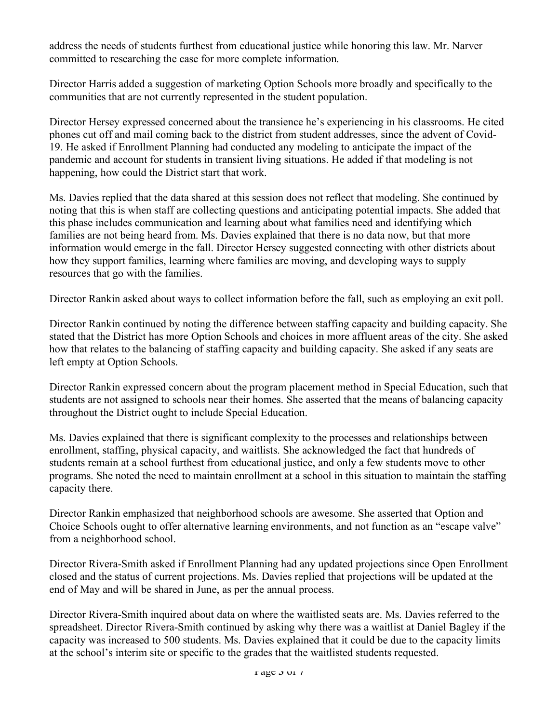address the needs of students furthest from educational justice while honoring this law. Mr. Narver committed to researching the case for more complete information.

Director Harris added a suggestion of marketing Option Schools more broadly and specifically to the communities that are not currently represented in the student population.

Director Hersey expressed concerned about the transience he's experiencing in his classrooms. He cited phones cut off and mail coming back to the district from student addresses, since the advent of Covid-19. He asked if Enrollment Planning had conducted any modeling to anticipate the impact of the pandemic and account for students in transient living situations. He added if that modeling is not happening, how could the District start that work.

Ms. Davies replied that the data shared at this session does not reflect that modeling. She continued by noting that this is when staff are collecting questions and anticipating potential impacts. She added that this phase includes communication and learning about what families need and identifying which families are not being heard from. Ms. Davies explained that there is no data now, but that more information would emerge in the fall. Director Hersey suggested connecting with other districts about how they support families, learning where families are moving, and developing ways to supply resources that go with the families.

Director Rankin asked about ways to collect information before the fall, such as employing an exit poll.

Director Rankin continued by noting the difference between staffing capacity and building capacity. She stated that the District has more Option Schools and choices in more affluent areas of the city. She asked how that relates to the balancing of staffing capacity and building capacity. She asked if any seats are left empty at Option Schools.

Director Rankin expressed concern about the program placement method in Special Education, such that students are not assigned to schools near their homes. She asserted that the means of balancing capacity throughout the District ought to include Special Education.

Ms. Davies explained that there is significant complexity to the processes and relationships between enrollment, staffing, physical capacity, and waitlists. She acknowledged the fact that hundreds of students remain at a school furthest from educational justice, and only a few students move to other programs. She noted the need to maintain enrollment at a school in this situation to maintain the staffing capacity there.

Director Rankin emphasized that neighborhood schools are awesome. She asserted that Option and Choice Schools ought to offer alternative learning environments, and not function as an "escape valve" from a neighborhood school.

Director Rivera-Smith asked if Enrollment Planning had any updated projections since Open Enrollment closed and the status of current projections. Ms. Davies replied that projections will be updated at the end of May and will be shared in June, as per the annual process.

Director Rivera-Smith inquired about data on where the waitlisted seats are. Ms. Davies referred to the spreadsheet. Director Rivera-Smith continued by asking why there was a waitlist at Daniel Bagley if the capacity was increased to 500 students. Ms. Davies explained that it could be due to the capacity limits at the school's interim site or specific to the grades that the waitlisted students requested.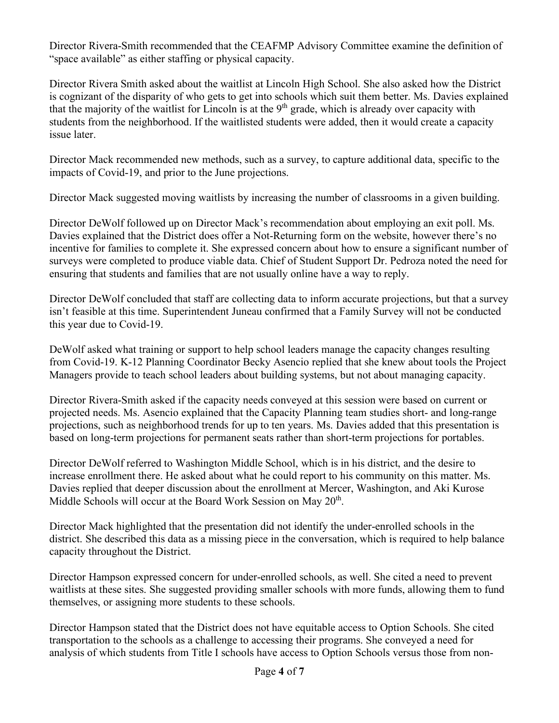Director Rivera-Smith recommended that the CEAFMP Advisory Committee examine the definition of "space available" as either staffing or physical capacity.

Director Rivera Smith asked about the waitlist at Lincoln High School. She also asked how the District is cognizant of the disparity of who gets to get into schools which suit them better. Ms. Davies explained that the majority of the waitlist for Lincoln is at the  $9<sup>th</sup>$  grade, which is already over capacity with students from the neighborhood. If the waitlisted students were added, then it would create a capacity issue later.

Director Mack recommended new methods, such as a survey, to capture additional data, specific to the impacts of Covid-19, and prior to the June projections.

Director Mack suggested moving waitlists by increasing the number of classrooms in a given building.

Director DeWolf followed up on Director Mack's recommendation about employing an exit poll. Ms. Davies explained that the District does offer a Not-Returning form on the website, however there's no incentive for families to complete it. She expressed concern about how to ensure a significant number of surveys were completed to produce viable data. Chief of Student Support Dr. Pedroza noted the need for ensuring that students and families that are not usually online have a way to reply.

Director DeWolf concluded that staff are collecting data to inform accurate projections, but that a survey isn't feasible at this time. Superintendent Juneau confirmed that a Family Survey will not be conducted this year due to Covid-19.

DeWolf asked what training or support to help school leaders manage the capacity changes resulting from Covid-19. K-12 Planning Coordinator Becky Asencio replied that she knew about tools the Project Managers provide to teach school leaders about building systems, but not about managing capacity.

Director Rivera-Smith asked if the capacity needs conveyed at this session were based on current or projected needs. Ms. Asencio explained that the Capacity Planning team studies short- and long-range projections, such as neighborhood trends for up to ten years. Ms. Davies added that this presentation is based on long-term projections for permanent seats rather than short-term projections for portables.

Director DeWolf referred to Washington Middle School, which is in his district, and the desire to increase enrollment there. He asked about what he could report to his community on this matter. Ms. Davies replied that deeper discussion about the enrollment at Mercer, Washington, and Aki Kurose Middle Schools will occur at the Board Work Session on May 20<sup>th</sup>.

Director Mack highlighted that the presentation did not identify the under-enrolled schools in the district. She described this data as a missing piece in the conversation, which is required to help balance capacity throughout the District.

Director Hampson expressed concern for under-enrolled schools, as well. She cited a need to prevent waitlists at these sites. She suggested providing smaller schools with more funds, allowing them to fund themselves, or assigning more students to these schools.

Director Hampson stated that the District does not have equitable access to Option Schools. She cited transportation to the schools as a challenge to accessing their programs. She conveyed a need for analysis of which students from Title I schools have access to Option Schools versus those from non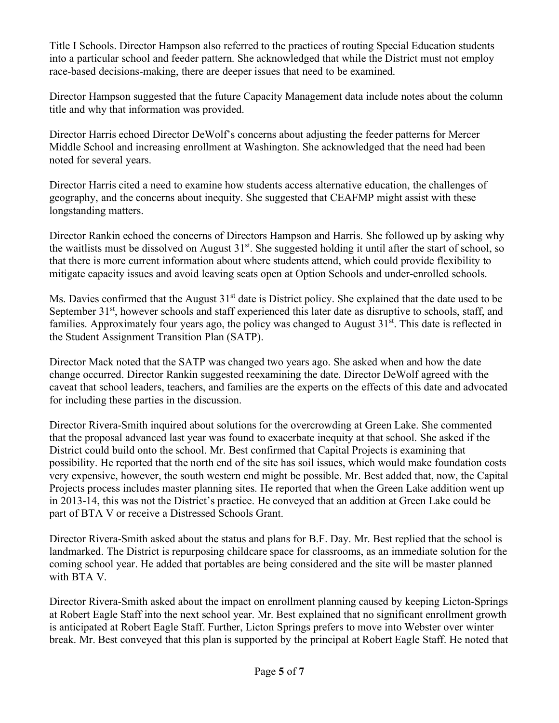Title I Schools. Director Hampson also referred to the practices of routing Special Education students into a particular school and feeder pattern. She acknowledged that while the District must not employ race-based decisions-making, there are deeper issues that need to be examined.

Director Hampson suggested that the future Capacity Management data include notes about the column title and why that information was provided.

Director Harris echoed Director DeWolf's concerns about adjusting the feeder patterns for Mercer Middle School and increasing enrollment at Washington. She acknowledged that the need had been noted for several years.

Director Harris cited a need to examine how students access alternative education, the challenges of geography, and the concerns about inequity. She suggested that CEAFMP might assist with these longstanding matters.

Director Rankin echoed the concerns of Directors Hampson and Harris. She followed up by asking why the waitlists must be dissolved on August 31st. She suggested holding it until after the start of school, so that there is more current information about where students attend, which could provide flexibility to mitigate capacity issues and avoid leaving seats open at Option Schools and under-enrolled schools.

Ms. Davies confirmed that the August 31<sup>st</sup> date is District policy. She explained that the date used to be September 31<sup>st</sup>, however schools and staff experienced this later date as disruptive to schools, staff, and families. Approximately four years ago, the policy was changed to August  $31<sup>st</sup>$ . This date is reflected in the Student Assignment Transition Plan (SATP).

Director Mack noted that the SATP was changed two years ago. She asked when and how the date change occurred. Director Rankin suggested reexamining the date. Director DeWolf agreed with the caveat that school leaders, teachers, and families are the experts on the effects of this date and advocated for including these parties in the discussion.

Director Rivera-Smith inquired about solutions for the overcrowding at Green Lake. She commented that the proposal advanced last year was found to exacerbate inequity at that school. She asked if the District could build onto the school. Mr. Best confirmed that Capital Projects is examining that possibility. He reported that the north end of the site has soil issues, which would make foundation costs very expensive, however, the south western end might be possible. Mr. Best added that, now, the Capital Projects process includes master planning sites. He reported that when the Green Lake addition went up in 2013-14, this was not the District's practice. He conveyed that an addition at Green Lake could be part of BTA V or receive a Distressed Schools Grant.

Director Rivera-Smith asked about the status and plans for B.F. Day. Mr. Best replied that the school is landmarked. The District is repurposing childcare space for classrooms, as an immediate solution for the coming school year. He added that portables are being considered and the site will be master planned with BTA V.

Director Rivera-Smith asked about the impact on enrollment planning caused by keeping Licton-Springs at Robert Eagle Staff into the next school year. Mr. Best explained that no significant enrollment growth is anticipated at Robert Eagle Staff. Further, Licton Springs prefers to move into Webster over winter break. Mr. Best conveyed that this plan is supported by the principal at Robert Eagle Staff. He noted that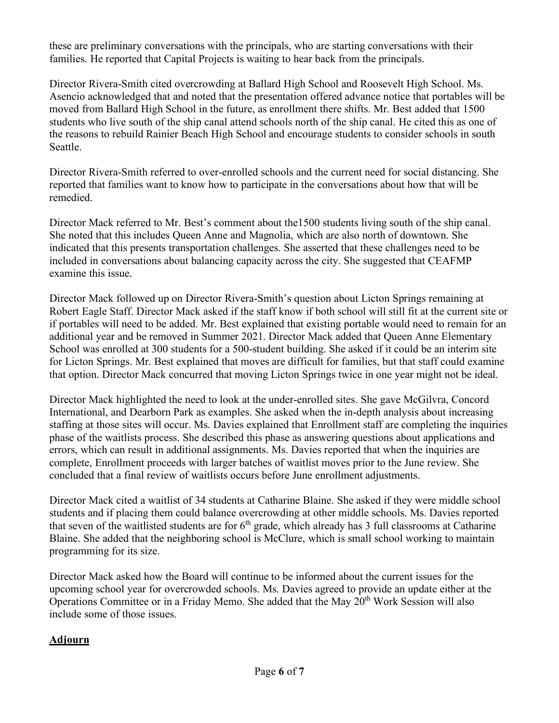these are preliminary conversations with the principals, who are starting conversations with their families. He reported that Capital Projects is waiting to hear back from the principals.

Director Rivera-Smith cited overcrowding at Ballard High School and Roosevelt High School. Ms. Asencio acknowledged that and noted that the presentation offered advance notice that portables will be moved from Ballard High School in the future, as enrollment there shifts. Mr. Best added that 1500 students who live south of the ship canal attend schools north of the ship canal. He cited this as one of the reasons to rebuild Rainier Beach High School and encourage students to consider schools in south Seattle.

Director Rivera-Smith referred to over-enrolled schools and the current need for social distancing. She reported that families want to know how to participate in the conversations about how that will be remedied.

Director Mack referred to Mr. Best's comment about the1500 students living south of the ship canal. She noted that this includes Queen Anne and Magnolia, which are also north of downtown. She indicated that this presents transportation challenges. She asserted that these challenges need to be included in conversations about balancing capacity across the city. She suggested that CEAFMP examine this issue.

Director Mack followed up on Director Rivera-Smith's question about Licton Springs remaining at Robert Eagle Staff. Director Mack asked if the staff know if both school will still fit at the current site or if portables will need to be added. Mr. Best explained that existing portable would need to remain for an additional year and be removed in Summer 2021. Director Mack added that Queen Anne Elementary School was enrolled at 300 students for a 500-student building. She asked if it could be an interim site for Licton Springs. Mr. Best explained that moves are difficult for families, but that staff could examine that option. Director Mack concurred that moving Licton Springs twice in one year might not be ideal.

Director Mack highlighted the need to look at the under-enrolled sites. She gave McGilvra, Concord International, and Dearborn Park as examples. She asked when the in-depth analysis about increasing staffing at those sites will occur. Ms. Davies explained that Enrollment staff are completing the inquiries phase of the waitlists process. She described this phase as answering questions about applications and errors, which can result in additional assignments. Ms. Davies reported that when the inquiries are complete, Enrollment proceeds with larger batches of waitlist moves prior to the June review. She concluded that a final review of waitlists occurs before June enrollment adjustments.

Director Mack cited a waitlist of 34 students at Catharine Blaine. She asked if they were middle school students and if placing them could balance overcrowding at other middle schools. Ms. Davies reported that seven of the waitlisted students are for  $6<sup>th</sup>$  grade, which already has 3 full classrooms at Catharine Blaine. She added that the neighboring school is McClure, which is small school working to maintain programming for its size.

Director Mack asked how the Board will continue to be informed about the current issues for the upcoming school year for overcrowded schools. Ms. Davies agreed to provide an update either at the Operations Committee or in a Friday Memo. She added that the May 20<sup>th</sup> Work Session will also include some of those issues.

## **Adjourn**